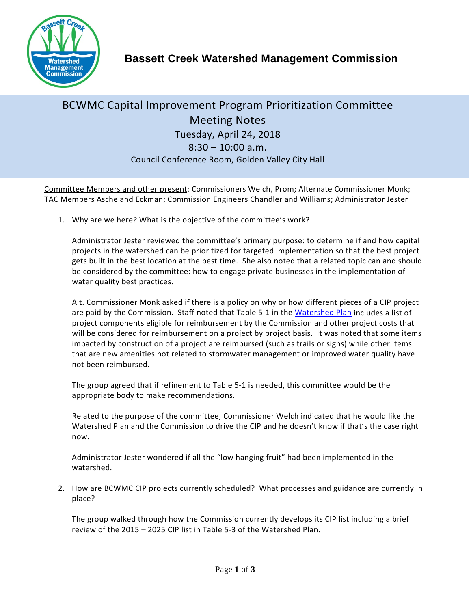

## BCWMC Capital Improvement Program Prioritization Committee Meeting Notes Tuesday, April 24, 2018  $8:30 - 10:00$  a.m. Council Conference Room, Golden Valley City Hall

Committee Members and other present: Commissioners Welch, Prom; Alternate Commissioner Monk; TAC Members Asche and Eckman; Commission Engineers Chandler and Williams; Administrator Jester

1. Why are we here? What is the objective of the committee's work?

Administrator Jester reviewed the committee's primary purpose: to determine if and how capital projects in the watershed can be prioritized for targeted implementation so that the best project gets built in the best location at the best time. She also noted that a related topic can and should be considered by the committee: how to engage private businesses in the implementation of water quality best practices.

Alt. Commissioner Monk asked if there is a policy on why or how different pieces of a CIP project are paid by the Commission. Staff noted that Table 5-1 in the [Watershed Plan](http://www.bassettcreekwmo.org/application/files/6415/0367/7836/BCWMC_Section_5_Final_Revised_August_2017.pdf) includes a list of project components eligible for reimbursement by the Commission and other project costs that will be considered for reimbursement on a project by project basis. It was noted that some items impacted by construction of a project are reimbursed (such as trails or signs) while other items that are new amenities not related to stormwater management or improved water quality have not been reimbursed.

The group agreed that if refinement to Table 5-1 is needed, this committee would be the appropriate body to make recommendations.

Related to the purpose of the committee, Commissioner Welch indicated that he would like the Watershed Plan and the Commission to drive the CIP and he doesn't know if that's the case right now.

Administrator Jester wondered if all the "low hanging fruit" had been implemented in the watershed.

2. How are BCWMC CIP projects currently scheduled? What processes and guidance are currently in place?

The group walked through how the Commission currently develops its CIP list including a brief review of the 2015 – 2025 CIP list in Table 5-3 of the Watershed Plan.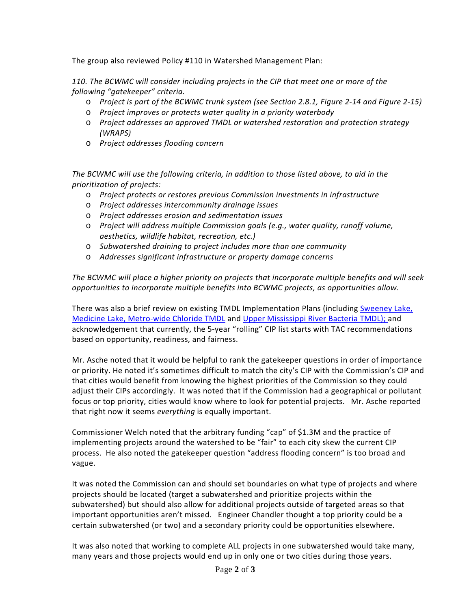The group also reviewed Policy #110 in Watershed Management Plan:

*110. The BCWMC will consider including projects in the CIP that meet one or more of the following "gatekeeper" criteria.*

- o *Project is part of the BCWMC trunk system (see Section 2.8.1, Figure 2-14 and Figure 2-15)*
- o *Project improves or protects water quality in a priority waterbody*
- o *Project addresses an approved TMDL or watershed restoration and protection strategy (WRAPS)*
- o *Project addresses flooding concern*

*The BCWMC will use the following criteria, in addition to those listed above, to aid in the prioritization of projects:*

- o *Project protects or restores previous Commission investments in infrastructure*
- o *Project addresses intercommunity drainage issues*
- o *Project addresses erosion and sedimentation issues*
- o *Project will address multiple Commission goals (e.g., water quality, runoff volume, aesthetics, wildlife habitat, recreation, etc.)*
- o *Subwatershed draining to project includes more than one community*
- o *Addresses significant infrastructure or property damage concerns*

*The BCWMC will place a higher priority on projects that incorporate multiple benefits and will seek opportunities to incorporate multiple benefits into BCWMC projects, as opportunities allow.*

There was also a brief review on existing TMDL Implementation Plans (including [Sweeney Lake,](https://www.pca.state.mn.us/sites/default/files/wq-iw8-06e.pdf) [Medicine Lake,](https://www.pca.state.mn.us/sites/default/files/wq-iw8-19c.pdf) [Metro-wide Chloride TMDL](https://www.pca.state.mn.us/sites/default/files/wq-iw11-06e.pdf) and [Upper Mississippi River Bacteria TMDL\)](https://www.pca.state.mn.us/sites/default/files/wq-iw8-08c.pdf); and acknowledgement that currently, the 5-year "rolling" CIP list starts with TAC recommendations based on opportunity, readiness, and fairness.

Mr. Asche noted that it would be helpful to rank the gatekeeper questions in order of importance or priority. He noted it's sometimes difficult to match the city's CIP with the Commission's CIP and that cities would benefit from knowing the highest priorities of the Commission so they could adjust their CIPs accordingly. It was noted that if the Commission had a geographical or pollutant focus or top priority, cities would know where to look for potential projects. Mr. Asche reported that right now it seems *everything* is equally important.

Commissioner Welch noted that the arbitrary funding "cap" of \$1.3M and the practice of implementing projects around the watershed to be "fair" to each city skew the current CIP process. He also noted the gatekeeper question "address flooding concern" is too broad and vague.

It was noted the Commission can and should set boundaries on what type of projects and where projects should be located (target a subwatershed and prioritize projects within the subwatershed) but should also allow for additional projects outside of targeted areas so that important opportunities aren't missed. Engineer Chandler thought a top priority could be a certain subwatershed (or two) and a secondary priority could be opportunities elsewhere.

It was also noted that working to complete ALL projects in one subwatershed would take many, many years and those projects would end up in only one or two cities during those years.